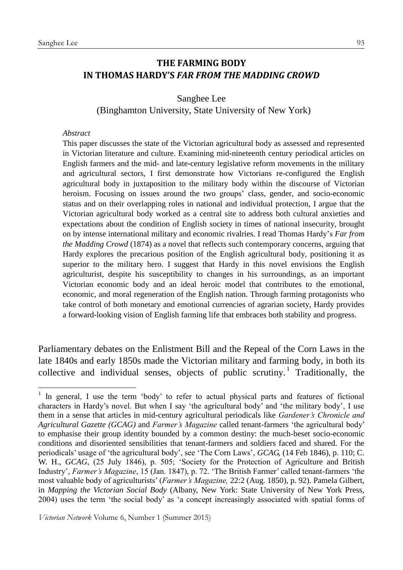### **THE FARMING BODY IN THOMAS HARDY'S** *FAR FROM THE MADDING CROWD*

Sanghee Lee (Binghamton University, State University of New York)

#### *Abstract*

1

This paper discusses the state of the Victorian agricultural body as assessed and represented in Victorian literature and culture. Examining mid-nineteenth century periodical articles on English farmers and the mid- and late-century legislative reform movements in the military and agricultural sectors, I first demonstrate how Victorians re-configured the English agricultural body in juxtaposition to the military body within the discourse of Victorian heroism. Focusing on issues around the two groups' class, gender, and socio-economic status and on their overlapping roles in national and individual protection, I argue that the Victorian agricultural body worked as a central site to address both cultural anxieties and expectations about the condition of English society in times of national insecurity, brought on by intense international military and economic rivalries. I read Thomas Hardy's *Far from the Madding Crowd* (1874) as a novel that reflects such contemporary concerns, arguing that Hardy explores the precarious position of the English agricultural body, positioning it as superior to the military hero. I suggest that Hardy in this novel envisions the English agriculturist, despite his susceptibility to changes in his surroundings, as an important Victorian economic body and an ideal heroic model that contributes to the emotional, economic, and moral regeneration of the English nation. Through farming protagonists who take control of both monetary and emotional currencies of agrarian society, Hardy provides a forward-looking vision of English farming life that embraces both stability and progress.

Parliamentary debates on the Enlistment Bill and the Repeal of the Corn Laws in the late 1840s and early 1850s made the Victorian military and farming body, in both its collective and individual senses, objects of public scrutiny.<sup>1</sup> Traditionally, the

*Victorian Network* Volume 6, Number 1 (Summer 2015)

<sup>&</sup>lt;sup>1</sup> In general, I use the term 'body' to refer to actual physical parts and features of fictional characters in Hardy's novel. But when I say 'the agricultural body' and 'the military body', I use them in a sense that articles in mid-century agricultural periodicals like *Gardener's Chronicle and Agricultural Gazette (GCAG)* and *Farmer's Magazine* called tenant-farmers 'the agricultural body' to emphasise their group identity bounded by a common destiny: the much-beset socio-economic conditions and disoriented sensibilities that tenant-farmers and soldiers faced and shared. For the periodicals' usage of 'the agricultural body', see 'The Corn Laws', *GCAG,* (14 Feb 1846), p. 110; C. W. H., *GCAG*, (25 July 1846), p. 505; 'Society for the Protection of Agriculture and British Industry', *Farmer's Magazine*, 15 (Jan. 1847), p. 72. 'The British Farmer' called tenant-farmers 'the most valuable body of agriculturists' (*Farmer's Magazine,* 22:2 (Aug. 1850), p. 92). Pamela Gilbert, in *Mapping the Victorian Social Body* (Albany, New York: State University of New York Press, 2004) uses the term 'the social body' as 'a concept increasingly associated with spatial forms of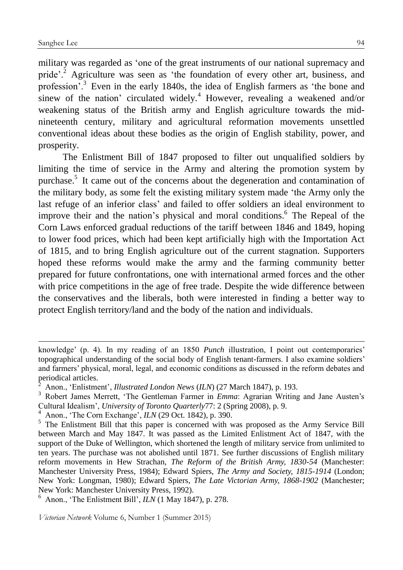1

military was regarded as 'one of the great instruments of our national supremacy and pride'.<sup>2</sup> Agriculture was seen as 'the foundation of every other art, business, and profession'.<sup>3</sup> Even in the early 1840s, the idea of English farmers as 'the bone and sinew of the nation' circulated widely.<sup>4</sup> However, revealing a weakened and/or weakening status of the British army and English agriculture towards the midnineteenth century, military and agricultural reformation movements unsettled conventional ideas about these bodies as the origin of English stability, power, and prosperity.

The Enlistment Bill of 1847 proposed to filter out unqualified soldiers by limiting the time of service in the Army and altering the promotion system by purchase.<sup>5</sup> It came out of the concerns about the degeneration and contamination of the military body, as some felt the existing military system made 'the Army only the last refuge of an inferior class' and failed to offer soldiers an ideal environment to improve their and the nation's physical and moral conditions.<sup>6</sup> The Repeal of the Corn Laws enforced gradual reductions of the tariff between 1846 and 1849, hoping to lower food prices, which had been kept artificially high with the Importation Act of 1815, and to bring English agriculture out of the current stagnation. Supporters hoped these reforms would make the army and the farming community better prepared for future confrontations, one with international armed forces and the other with price competitions in the age of free trade. Despite the wide difference between the conservatives and the liberals, both were interested in finding a better way to protect English territory/land and the body of the nation and individuals.

knowledge' (p. 4). In my reading of an 1850 *Punch* illustration, I point out contemporaries' topographical understanding of the social body of English tenant-farmers. I also examine soldiers' and farmers' physical, moral, legal, and economic conditions as discussed in the reform debates and periodical articles.

<sup>2</sup> Anon., 'Enlistment', *Illustrated London News* (*ILN*) (27 March 1847), p. 193.

<sup>3</sup> Robert James Merrett, 'The Gentleman Farmer in *Emma*: Agrarian Writing and Jane Austen's Cultural Idealism', *University of Toronto Quarterly*77: 2 (Spring 2008), p. 9.

<sup>4</sup> Anon., 'The Corn Exchange', *ILN* (29 Oct. 1842), p. 390.

<sup>&</sup>lt;sup>5</sup> The Enlistment Bill that this paper is concerned with was proposed as the Army Service Bill between March and May 1847. It was passed as the Limited Enlistment Act of 1847, with the support of the Duke of Wellington, which shortened the length of military service from unlimited to ten years. The purchase was not abolished until 1871. See further discussions of English military reform movements in Hew Strachan, *The Reform of the British Army, 1830-54* (Manchester: Manchester University Press, 1984); Edward Spiers, *The Army and Society, 1815-1914* (London; New York: Longman, 1980); Edward Spiers, *The Late Victorian Army, 1868-1902* (Manchester; New York: Manchester University Press, 1992).

<sup>6</sup> Anon., 'The Enlistment Bill', *ILN* (1 May 1847), p. 278.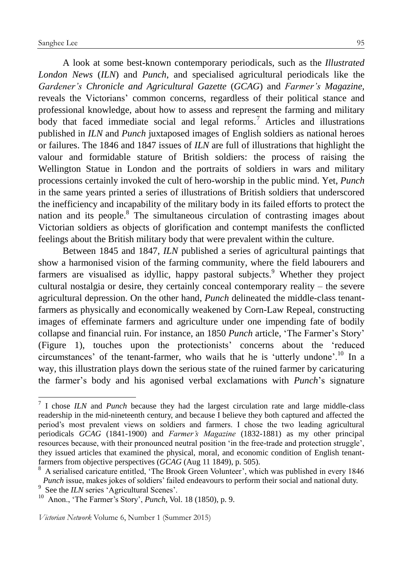A look at some best-known contemporary periodicals, such as the *Illustrated London News* (*ILN*) and *Punch*, and specialised agricultural periodicals like the *Gardener's Chronicle and Agricultural Gazette* (*GCAG*) and *Farmer's Magazine,* reveals the Victorians' common concerns, regardless of their political stance and professional knowledge, about how to assess and represent the farming and military body that faced immediate social and legal reforms.<sup>7</sup> Articles and illustrations published in *ILN* and *Punch* juxtaposed images of English soldiers as national heroes or failures. The 1846 and 1847 issues of *ILN* are full of illustrations that highlight the valour and formidable stature of British soldiers: the process of raising the Wellington Statue in London and the portraits of soldiers in wars and military processions certainly invoked the cult of hero-worship in the public mind. Yet, *Punch* in the same years printed a series of illustrations of British soldiers that underscored the inefficiency and incapability of the military body in its failed efforts to protect the nation and its people.<sup>8</sup> The simultaneous circulation of contrasting images about Victorian soldiers as objects of glorification and contempt manifests the conflicted feelings about the British military body that were prevalent within the culture.

Between 1845 and 1847, *ILN* published a series of agricultural paintings that show a harmonised vision of the farming community, where the field labourers and farmers are visualised as idyllic, happy pastoral subjects.<sup>9</sup> Whether they project cultural nostalgia or desire, they certainly conceal contemporary reality – the severe agricultural depression. On the other hand, *Punch* delineated the middle-class tenantfarmers as physically and economically weakened by Corn-Law Repeal, constructing images of effeminate farmers and agriculture under one impending fate of bodily collapse and financial ruin. For instance, an 1850 *Punch* article, 'The Farmer's Story' (Figure 1), touches upon the protectionists' concerns about the 'reduced circumstances' of the tenant-farmer, who wails that he is 'utterly undone'.<sup>10</sup> In a way, this illustration plays down the serious state of the ruined farmer by caricaturing the farmer's body and his agonised verbal exclamations with *Punch*'s signature

<sup>7</sup> I chose *ILN* and *Punch* because they had the largest circulation rate and large middle-class readership in the mid-nineteenth century, and because I believe they both captured and affected the period's most prevalent views on soldiers and farmers. I chose the two leading agricultural periodicals *GCAG* (1841-1900) and *Farmer's Magazine* (1832-1881) as my other principal resources because, with their pronounced neutral position 'in the free-trade and protection struggle', they issued articles that examined the physical, moral, and economic condition of English tenantfarmers from objective perspectives (*GCAG* (Aug 11 1849), p. 505).

<sup>8</sup> A serialised caricature entitled, 'The Brook Green Volunteer', which was published in every 1846 *Punch* issue, makes jokes of soldiers' failed endeavours to perform their social and national duty.

See the *ILN* series 'Agricultural Scenes'.

<sup>10</sup> Anon., 'The Farmer's Story', *Punch*, Vol. 18 (1850), p. 9.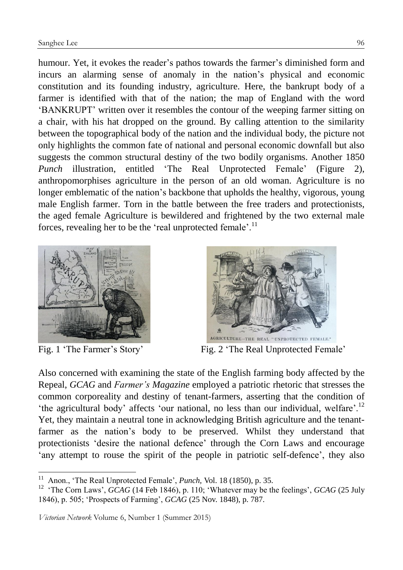humour. Yet, it evokes the reader's pathos towards the farmer's diminished form and incurs an alarming sense of anomaly in the nation's physical and economic constitution and its founding industry, agriculture. Here, the bankrupt body of a farmer is identified with that of the nation; the map of England with the word 'BANKRUPT' written over it resembles the contour of the weeping farmer sitting on a chair, with his hat dropped on the ground. By calling attention to the similarity between the topographical body of the nation and the individual body, the picture not only highlights the common fate of national and personal economic downfall but also suggests the common structural destiny of the two bodily organisms. Another 1850 *Punch* illustration, entitled 'The Real Unprotected Female' (Figure 2), anthropomorphises agriculture in the person of an old woman. Agriculture is no longer emblematic of the nation's backbone that upholds the healthy, vigorous, young male English farmer. Torn in the battle between the free traders and protectionists, the aged female Agriculture is bewildered and frightened by the two external male forces, revealing her to be the 'real unprotected female'.<sup>11</sup>



1



Fig. 1 'The Farmer's Story' Fig. 2 'The Real Unprotected Female'

Also concerned with examining the state of the English farming body affected by the Repeal, *GCAG* and *Farmer's Magazine* employed a patriotic rhetoric that stresses the common corporeality and destiny of tenant-farmers, asserting that the condition of 'the agricultural body' affects 'our national, no less than our individual, welfare'.<sup>12</sup> Yet, they maintain a neutral tone in acknowledging British agriculture and the tenantfarmer as the nation's body to be preserved. Whilst they understand that protectionists 'desire the national defence' through the Corn Laws and encourage 'any attempt to rouse the spirit of the people in patriotic self-defence', they also

<sup>11</sup> Anon., 'The Real Unprotected Female', *Punch,* Vol. 18 (1850), p. 35.

<sup>&</sup>lt;sup>12</sup> 'The Corn Laws', *GCAG* (14 Feb 1846), p. 110; 'Whatever may be the feelings', *GCAG* (25 July 1846), p. 505; 'Prospects of Farming', *GCAG* (25 Nov. 1848), p. 787.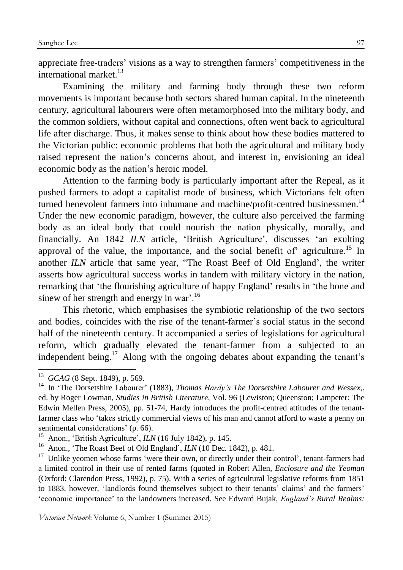appreciate free-traders' visions as a way to strengthen farmers' competitiveness in the international market.<sup>13</sup>

Examining the military and farming body through these two reform movements is important because both sectors shared human capital. In the nineteenth century, agricultural labourers were often metamorphosed into the military body, and the common soldiers, without capital and connections, often went back to agricultural life after discharge. Thus, it makes sense to think about how these bodies mattered to the Victorian public: economic problems that both the agricultural and military body raised represent the nation's concerns about, and interest in, envisioning an ideal economic body as the nation's heroic model.

Attention to the farming body is particularly important after the Repeal, as it pushed farmers to adopt a capitalist mode of business, which Victorians felt often turned benevolent farmers into inhumane and machine/profit-centred businessmen. $14$ Under the new economic paradigm, however, the culture also perceived the farming body as an ideal body that could nourish the nation physically, morally, and financially. An 1842 *ILN* article, 'British Agriculture', discusses 'an exulting approval of the value, the importance, and the social benefit of agriculture.<sup>15</sup> In another *ILN* article that same year, "The Roast Beef of Old England', the writer asserts how agricultural success works in tandem with military victory in the nation, remarking that 'the flourishing agriculture of happy England' results in 'the bone and sinew of her strength and energy in war'.<sup>16</sup>

This rhetoric, which emphasises the symbiotic relationship of the two sectors and bodies, coincides with the rise of the tenant-farmer's social status in the second half of the nineteenth century. It accompanied a series of legislations for agricultural reform, which gradually elevated the tenant-farmer from a subjected to an independent being.<sup>17</sup> Along with the ongoing debates about expanding the tenant's

<sup>13</sup> *GCAG* (8 Sept. 1849), p. 569.

<sup>14</sup> In 'The Dorsetshire Labourer' (1883), *Thomas Hardy's The Dorsetshire Labourer and Wessex*,. ed. by Roger Lowman, *Studies in British Literature*, Vol. 96 (Lewiston; Queenston; Lampeter: The Edwin Mellen Press, 2005), pp. 51-74, Hardy introduces the profit-centred attitudes of the tenantfarmer class who 'takes strictly commercial views of his man and cannot afford to waste a penny on sentimental considerations' (p. 66).

<sup>15</sup> Anon., 'British Agriculture', *ILN* (16 July 1842), p. 145.

<sup>&</sup>lt;sup>16</sup> Anon., 'The Roast Beef of Old England', *ILN* (10 Dec. 1842), p. 481.

 $17$  Unlike yeomen whose farms 'were their own, or directly under their control', tenant-farmers had a limited control in their use of rented farms (quoted in Robert Allen, *Enclosure and the Yeoman* (Oxford: Clarendon Press, 1992), p. 75). With a series of agricultural legislative reforms from 1851 to 1883, however, 'landlords found themselves subject to their tenants' claims' and the farmers' 'economic importance' to the landowners increased. See Edward Bujak, *England's Rural Realms:*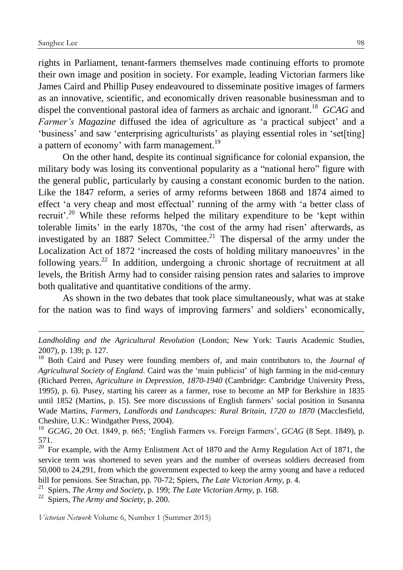1

rights in Parliament, tenant-farmers themselves made continuing efforts to promote their own image and position in society. For example, leading Victorian farmers like James Caird and Phillip Pusey endeavoured to disseminate positive images of farmers as an innovative, scientific, and economically driven reasonable businessman and to dispel the conventional pastoral idea of farmers as archaic and ignorant.<sup>18</sup> *GCAG* and *Farmer's Magazine* diffused the idea of agriculture as 'a practical subject' and a 'business' and saw 'enterprising agriculturists' as playing essential roles in 'set[ting] a pattern of economy' with farm management.<sup>19</sup>

On the other hand, despite its continual significance for colonial expansion, the military body was losing its conventional popularity as a "national hero" figure with the general public, particularly by causing a constant economic burden to the nation. Like the 1847 reform, a series of army reforms between 1868 and 1874 aimed to effect 'a very cheap and most effectual' running of the army with 'a better class of recruit'.<sup>20</sup> While these reforms helped the military expenditure to be 'kept within tolerable limits' in the early 1870s, 'the cost of the army had risen' afterwards, as investigated by an 1887 Select Committee.<sup>21</sup> The dispersal of the army under the Localization Act of 1872 'increased the costs of holding military manoeuvres' in the following years.<sup>22</sup> In addition, undergoing a chronic shortage of recruitment at all levels, the British Army had to consider raising pension rates and salaries to improve both qualitative and quantitative conditions of the army.

As shown in the two debates that took place simultaneously, what was at stake for the nation was to find ways of improving farmers' and soldiers' economically,

*Landholding and the Agricultural Revolution* (London; New York: Tauris Academic Studies, 2007), p. 139; p. 127.

<sup>18</sup> Both Caird and Pusey were founding members of, and main contributors to, the *Journal of Agricultural Society of England*. Caird was the 'main publicist' of high farming in the mid-century (Richard Perren, *Agriculture in Depression, 1870-1940* (Cambridge: Cambridge University Press, 1995), p. 6). Pusey, starting his career as a farmer, rose to become an MP for Berkshire in 1835 until 1852 (Martins, p. 15). See more discussions of English farmers' social position in Susanna Wade Martins, *Farmers, Landlords and Landscapes: Rural Britain, 1720 to 1870* (Macclesfield, Cheshire, U.K.: Windgather Press, 2004).

<sup>19</sup> *GCAG*, 20 Oct. 1849, p. 665; 'English Farmers vs. Foreign Farmers', *GCAG* (8 Sept. 1849), p. 571.

 $20$  For example, with the Army Enlistment Act of 1870 and the Army Regulation Act of 1871, the service term was shortened to seven years and the number of overseas soldiers decreased from 50,000 to 24,291, from which the government expected to keep the army young and have a reduced bill for pensions. See Strachan, pp. 70-72; Spiers, *The Late Victorian Army*, p. 4.

<sup>21</sup> Spiers, *The Army and Society*, p. 199; *The Late Victorian Army*, p. 168.

<sup>22</sup> Spiers, *The Army and Society*, p. 200.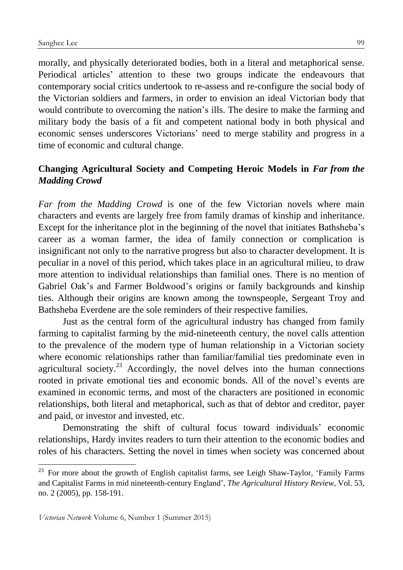morally, and physically deteriorated bodies, both in a literal and metaphorical sense. Periodical articles' attention to these two groups indicate the endeavours that contemporary social critics undertook to re-assess and re-configure the social body of the Victorian soldiers and farmers, in order to envision an ideal Victorian body that would contribute to overcoming the nation's ills. The desire to make the farming and military body the basis of a fit and competent national body in both physical and economic senses underscores Victorians' need to merge stability and progress in a time of economic and cultural change.

# **Changing Agricultural Society and Competing Heroic Models in** *Far from the Madding Crowd*

*Far from the Madding Crowd* is one of the few Victorian novels where main characters and events are largely free from family dramas of kinship and inheritance. Except for the inheritance plot in the beginning of the novel that initiates Bathsheba's career as a woman farmer, the idea of family connection or complication is insignificant not only to the narrative progress but also to character development. It is peculiar in a novel of this period, which takes place in an agricultural milieu, to draw more attention to individual relationships than familial ones. There is no mention of Gabriel Oak's and Farmer Boldwood's origins or family backgrounds and kinship ties. Although their origins are known among the townspeople, Sergeant Troy and Bathsheba Everdene are the sole reminders of their respective families.

Just as the central form of the agricultural industry has changed from family farming to capitalist farming by the mid-nineteenth century, the novel calls attention to the prevalence of the modern type of human relationship in a Victorian society where economic relationships rather than familiar/familial ties predominate even in agricultural society.<sup>23</sup> Accordingly, the novel delves into the human connections rooted in private emotional ties and economic bonds. All of the novel's events are examined in economic terms, and most of the characters are positioned in economic relationships, both literal and metaphorical, such as that of debtor and creditor, payer and paid, or investor and invested, etc.

Demonstrating the shift of cultural focus toward individuals' economic relationships, Hardy invites readers to turn their attention to the economic bodies and roles of his characters. Setting the novel in times when society was concerned about

 $23$  For more about the growth of English capitalist farms, see Leigh Shaw-Taylor, 'Family Farms and Capitalist Farms in mid nineteenth-century England', *The Agricultural History Review*, Vol. 53, no. 2 (2005), pp. 158-191.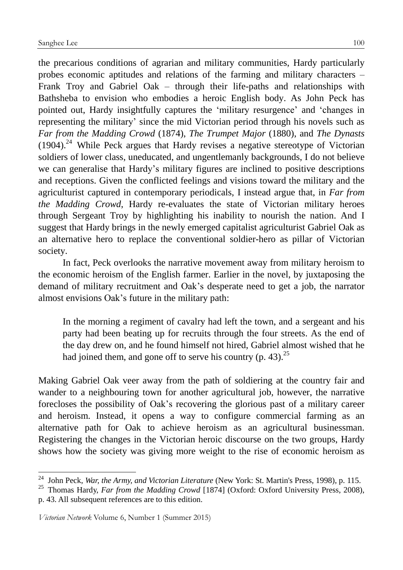the precarious conditions of agrarian and military communities, Hardy particularly probes economic aptitudes and relations of the farming and military characters – Frank Troy and Gabriel Oak – through their life-paths and relationships with Bathsheba to envision who embodies a heroic English body. As John Peck has pointed out, Hardy insightfully captures the 'military resurgence' and 'changes in representing the military' since the mid Victorian period through his novels such as *Far from the Madding Crowd* (1874), *The Trumpet Major* (1880), and *The Dynasts*  $(1904)$ <sup>24</sup> While Peck argues that Hardy revises a negative stereotype of Victorian soldiers of lower class, uneducated, and ungentlemanly backgrounds, I do not believe we can generalise that Hardy's military figures are inclined to positive descriptions and receptions. Given the conflicted feelings and visions toward the military and the agriculturist captured in contemporary periodicals, I instead argue that, in *Far from the Madding Crowd*, Hardy re-evaluates the state of Victorian military heroes through Sergeant Troy by highlighting his inability to nourish the nation. And I suggest that Hardy brings in the newly emerged capitalist agriculturist Gabriel Oak as an alternative hero to replace the conventional soldier-hero as pillar of Victorian society.

In fact, Peck overlooks the narrative movement away from military heroism to the economic heroism of the English farmer. Earlier in the novel, by juxtaposing the demand of military recruitment and Oak's desperate need to get a job, the narrator almost envisions Oak's future in the military path:

In the morning a regiment of cavalry had left the town, and a sergeant and his party had been beating up for recruits through the four streets. As the end of the day drew on, and he found himself not hired, Gabriel almost wished that he had joined them, and gone off to serve his country  $(p. 43)$ .<sup>25</sup>

Making Gabriel Oak veer away from the path of soldiering at the country fair and wander to a neighbouring town for another agricultural job, however, the narrative forecloses the possibility of Oak's recovering the glorious past of a military career and heroism. Instead, it opens a way to configure commercial farming as an alternative path for Oak to achieve heroism as an agricultural businessman. Registering the changes in the Victorian heroic discourse on the two groups, Hardy shows how the society was giving more weight to the rise of economic heroism as

<sup>24</sup> John Peck, *War, the Army, and Victorian Literature* (New York: St. Martin's Press, 1998), p. 115.

<sup>&</sup>lt;sup>25</sup> Thomas Hardy, *Far from the Madding Crowd* [1874] (Oxford: Oxford University Press, 2008), p. 43. All subsequent references are to this edition.

*Victorian Network* Volume 6, Number 1 (Summer 2015)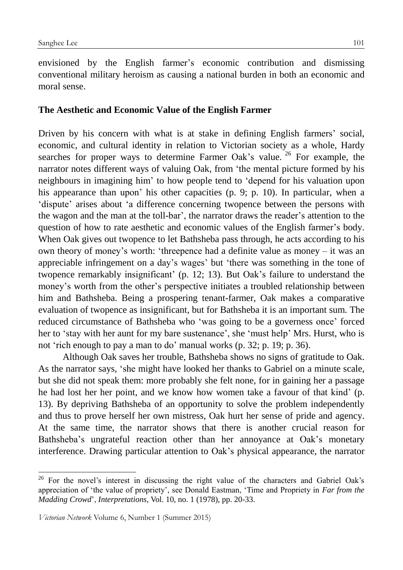envisioned by the English farmer's economic contribution and dismissing conventional military heroism as causing a national burden in both an economic and moral sense.

### **The Aesthetic and Economic Value of the English Farmer**

Driven by his concern with what is at stake in defining English farmers' social, economic, and cultural identity in relation to Victorian society as a whole, Hardy searches for proper ways to determine Farmer Oak's value.  $26$  For example, the narrator notes different ways of valuing Oak, from 'the mental picture formed by his neighbours in imagining him' to how people tend to 'depend for his valuation upon his appearance than upon' his other capacities (p. 9; p. 10). In particular, when a 'dispute' arises about 'a difference concerning twopence between the persons with the wagon and the man at the toll-bar', the narrator draws the reader's attention to the question of how to rate aesthetic and economic values of the English farmer's body. When Oak gives out twopence to let Bathsheba pass through, he acts according to his own theory of money's worth: 'threepence had a definite value as money – it was an appreciable infringement on a day's wages' but 'there was something in the tone of twopence remarkably insignificant' (p. 12; 13). But Oak's failure to understand the money's worth from the other's perspective initiates a troubled relationship between him and Bathsheba. Being a prospering tenant-farmer, Oak makes a comparative evaluation of twopence as insignificant, but for Bathsheba it is an important sum. The reduced circumstance of Bathsheba who 'was going to be a governess once' forced her to 'stay with her aunt for my bare sustenance', she 'must help' Mrs. Hurst, who is not 'rich enough to pay a man to do' manual works (p. 32; p. 19; p. 36).

Although Oak saves her trouble, Bathsheba shows no signs of gratitude to Oak. As the narrator says, 'she might have looked her thanks to Gabriel on a minute scale, but she did not speak them: more probably she felt none, for in gaining her a passage he had lost her her point, and we know how women take a favour of that kind' (p. 13). By depriving Bathsheba of an opportunity to solve the problem independently and thus to prove herself her own mistress, Oak hurt her sense of pride and agency. At the same time, the narrator shows that there is another crucial reason for Bathsheba's ungrateful reaction other than her annoyance at Oak's monetary interference. Drawing particular attention to Oak's physical appearance, the narrator

<sup>&</sup>lt;sup>26</sup> For the novel's interest in discussing the right value of the characters and Gabriel Oak's appreciation of 'the value of propriety', see Donald Eastman, 'Time and Propriety in *Far from the Madding Crowd*', *Interpretations*, Vol. 10, no. 1 (1978), pp. 20-33.

*Victorian Network* Volume 6, Number 1 (Summer 2015)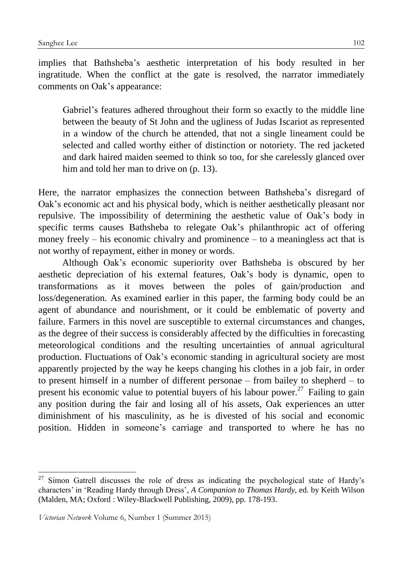implies that Bathsheba's aesthetic interpretation of his body resulted in her ingratitude. When the conflict at the gate is resolved, the narrator immediately comments on Oak's appearance:

Gabriel's features adhered throughout their form so exactly to the middle line between the beauty of St John and the ugliness of Judas Iscariot as represented in a window of the church he attended, that not a single lineament could be selected and called worthy either of distinction or notoriety. The red jacketed and dark haired maiden seemed to think so too, for she carelessly glanced over him and told her man to drive on  $(p, 13)$ .

Here, the narrator emphasizes the connection between Bathsheba's disregard of Oak's economic act and his physical body, which is neither aesthetically pleasant nor repulsive. The impossibility of determining the aesthetic value of Oak's body in specific terms causes Bathsheba to relegate Oak's philanthropic act of offering money freely – his economic chivalry and prominence – to a meaningless act that is not worthy of repayment, either in money or words.

Although Oak's economic superiority over Bathsheba is obscured by her aesthetic depreciation of his external features, Oak's body is dynamic, open to transformations as it moves between the poles of gain/production and loss/degeneration. As examined earlier in this paper, the farming body could be an agent of abundance and nourishment, or it could be emblematic of poverty and failure. Farmers in this novel are susceptible to external circumstances and changes, as the degree of their success is considerably affected by the difficulties in forecasting meteorological conditions and the resulting uncertainties of annual agricultural production. Fluctuations of Oak's economic standing in agricultural society are most apparently projected by the way he keeps changing his clothes in a job fair, in order to present himself in a number of different personae – from bailey to shepherd – to present his economic value to potential buyers of his labour power.<sup>27</sup> Failing to gain any position during the fair and losing all of his assets, Oak experiences an utter diminishment of his masculinity, as he is divested of his social and economic position. Hidden in someone's carriage and transported to where he has no

 $27$  Simon Gatrell discusses the role of dress as indicating the psychological state of Hardy's characters' in 'Reading Hardy through Dress'*, A Companion to Thomas Hardy*, ed. by Keith Wilson (Malden, MA; Oxford : Wiley-Blackwell Publishing, 2009), pp. 178-193.

*Victorian Network* Volume 6, Number 1 (Summer 2015)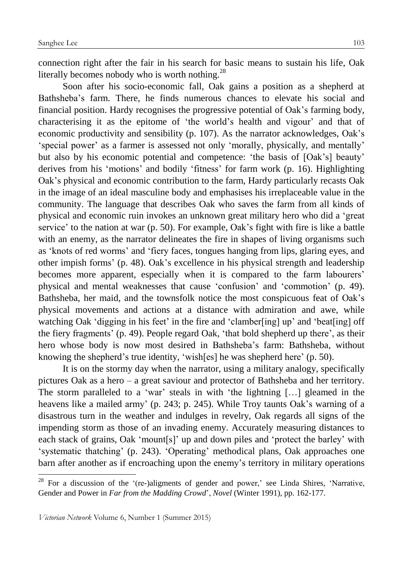connection right after the fair in his search for basic means to sustain his life, Oak literally becomes nobody who is worth nothing. $^{28}$ 

Soon after his socio-economic fall, Oak gains a position as a shepherd at Bathsheba's farm. There, he finds numerous chances to elevate his social and financial position. Hardy recognises the progressive potential of Oak's farming body, characterising it as the epitome of 'the world's health and vigour' and that of economic productivity and sensibility (p. 107). As the narrator acknowledges, Oak's 'special power' as a farmer is assessed not only 'morally, physically, and mentally' but also by his economic potential and competence: 'the basis of [Oak's] beauty' derives from his 'motions' and bodily 'fitness' for farm work (p. 16). Highlighting Oak's physical and economic contribution to the farm, Hardy particularly recasts Oak in the image of an ideal masculine body and emphasises his irreplaceable value in the community. The language that describes Oak who saves the farm from all kinds of physical and economic ruin invokes an unknown great military hero who did a 'great service' to the nation at war (p. 50). For example, Oak's fight with fire is like a battle with an enemy, as the narrator delineates the fire in shapes of living organisms such as 'knots of red worms' and 'fiery faces, tongues hanging from lips, glaring eyes, and other impish forms' (p. 48). Oak's excellence in his physical strength and leadership becomes more apparent, especially when it is compared to the farm labourers' physical and mental weaknesses that cause 'confusion' and 'commotion' (p. 49). Bathsheba, her maid, and the townsfolk notice the most conspicuous feat of Oak's physical movements and actions at a distance with admiration and awe, while watching Oak 'digging in his feet' in the fire and 'clamber[ing] up' and 'beat[ing] off the fiery fragments' (p. 49). People regard Oak, 'that bold shepherd up there', as their hero whose body is now most desired in Bathsheba's farm: Bathsheba, without knowing the shepherd's true identity, 'wish[es] he was shepherd here' (p. 50).

It is on the stormy day when the narrator, using a military analogy, specifically pictures Oak as a hero – a great saviour and protector of Bathsheba and her territory. The storm paralleled to a 'war' steals in with 'the lightning […] gleamed in the heavens like a mailed army' (p. 243; p. 245). While Troy taunts Oak's warning of a disastrous turn in the weather and indulges in revelry, Oak regards all signs of the impending storm as those of an invading enemy. Accurately measuring distances to each stack of grains, Oak 'mount[s]' up and down piles and 'protect the barley' with 'systematic thatching' (p. 243). 'Operating' methodical plans, Oak approaches one barn after another as if encroaching upon the enemy's territory in military operations

<sup>&</sup>lt;sup>28</sup> For a discussion of the '(re-)aligments of gender and power,' see Linda Shires, 'Narrative, Gender and Power in *Far from the Madding Crowd*', *Novel* (Winter 1991), pp. 162-177.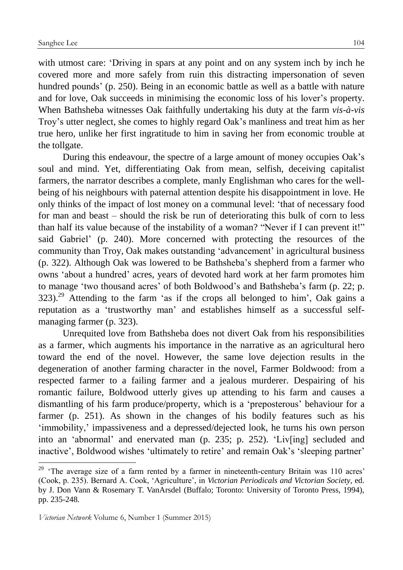with utmost care: 'Driving in spars at any point and on any system inch by inch he covered more and more safely from ruin this distracting impersonation of seven hundred pounds' (p. 250). Being in an economic battle as well as a battle with nature and for love, Oak succeeds in minimising the economic loss of his lover's property. When Bathsheba witnesses Oak faithfully undertaking his duty at the farm *vis-à-vis* Troy's utter neglect, she comes to highly regard Oak's manliness and treat him as her true hero, unlike her first ingratitude to him in saving her from economic trouble at the tollgate.

During this endeavour, the spectre of a large amount of money occupies Oak's soul and mind. Yet, differentiating Oak from mean, selfish, deceiving capitalist farmers, the narrator describes a complete, manly Englishman who cares for the wellbeing of his neighbours with paternal attention despite his disappointment in love. He only thinks of the impact of lost money on a communal level: 'that of necessary food for man and beast – should the risk be run of deteriorating this bulk of corn to less than half its value because of the instability of a woman? "Never if I can prevent it!" said Gabriel' (p. 240). More concerned with protecting the resources of the community than Troy, Oak makes outstanding 'advancement' in agricultural business (p. 322). Although Oak was lowered to be Bathsheba's shepherd from a farmer who owns 'about a hundred' acres, years of devoted hard work at her farm promotes him to manage 'two thousand acres' of both Boldwood's and Bathsheba's farm (p. 22; p.  $323$ .<sup>29</sup> Attending to the farm 'as if the crops all belonged to him', Oak gains a reputation as a 'trustworthy man' and establishes himself as a successful selfmanaging farmer (p. 323).

Unrequited love from Bathsheba does not divert Oak from his responsibilities as a farmer, which augments his importance in the narrative as an agricultural hero toward the end of the novel. However, the same love dejection results in the degeneration of another farming character in the novel, Farmer Boldwood: from a respected farmer to a failing farmer and a jealous murderer. Despairing of his romantic failure, Boldwood utterly gives up attending to his farm and causes a dismantling of his farm produce/property, which is a 'preposterous' behaviour for a farmer (p. 251). As shown in the changes of his bodily features such as his 'immobility,' impassiveness and a depressed/dejected look, he turns his own person into an 'abnormal' and enervated man (p. 235; p. 252). 'Liv[ing] secluded and inactive', Boldwood wishes 'ultimately to retire' and remain Oak's 'sleeping partner'

<u>.</u>

 $29$  'The average size of a farm rented by a farmer in nineteenth-century Britain was 110 acres' (Cook, p. 235). Bernard A. Cook, 'Agriculture', in *Victorian Periodicals and Victorian Society*, ed. by J. Don Vann & Rosemary T. VanArsdel (Buffalo; Toronto: University of Toronto Press, 1994), pp. 235-248.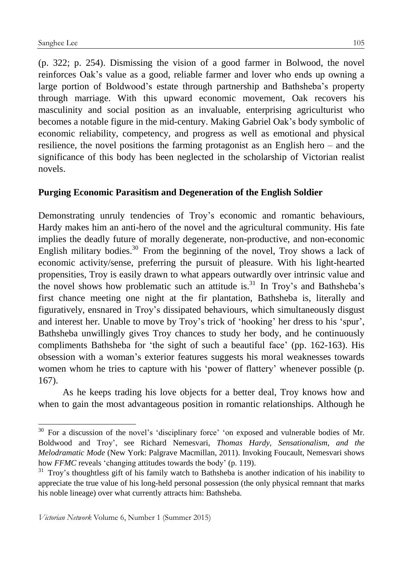1

(p. 322; p. 254). Dismissing the vision of a good farmer in Bolwood, the novel reinforces Oak's value as a good, reliable farmer and lover who ends up owning a large portion of Boldwood's estate through partnership and Bathsheba's property through marriage. With this upward economic movement, Oak recovers his masculinity and social position as an invaluable, enterprising agriculturist who becomes a notable figure in the mid-century. Making Gabriel Oak's body symbolic of economic reliability, competency, and progress as well as emotional and physical resilience, the novel positions the farming protagonist as an English hero – and the significance of this body has been neglected in the scholarship of Victorian realist novels.

## **Purging Economic Parasitism and Degeneration of the English Soldier**

Demonstrating unruly tendencies of Troy's economic and romantic behaviours, Hardy makes him an anti-hero of the novel and the agricultural community. His fate implies the deadly future of morally degenerate, non-productive, and non-economic English military bodies.<sup>30</sup> From the beginning of the novel, Troy shows a lack of economic activity/sense, preferring the pursuit of pleasure. With his light-hearted propensities, Troy is easily drawn to what appears outwardly over intrinsic value and the novel shows how problematic such an attitude is.<sup>31</sup> In Troy's and Bathsheba's first chance meeting one night at the fir plantation, Bathsheba is, literally and figuratively, ensnared in Troy's dissipated behaviours, which simultaneously disgust and interest her. Unable to move by Troy's trick of 'hooking' her dress to his 'spur', Bathsheba unwillingly gives Troy chances to study her body, and he continuously compliments Bathsheba for 'the sight of such a beautiful face' (pp. 162-163). His obsession with a woman's exterior features suggests his moral weaknesses towards women whom he tries to capture with his 'power of flattery' whenever possible (p. 167).

As he keeps trading his love objects for a better deal, Troy knows how and when to gain the most advantageous position in romantic relationships. Although he

<sup>&</sup>lt;sup>30</sup> For a discussion of the novel's 'disciplinary force' 'on exposed and vulnerable bodies of Mr. Boldwood and Troy', see Richard Nemesvari, *Thomas Hardy, Sensationalism, and the Melodramatic Mode* (New York: Palgrave Macmillan, 2011). Invoking Foucault, Nemesvari shows how *FFMC* reveals 'changing attitudes towards the body' (p. 119).

 $31$  Troy's thoughtless gift of his family watch to Bathsheba is another indication of his inability to appreciate the true value of his long-held personal possession (the only physical remnant that marks his noble lineage) over what currently attracts him: Bathsheba.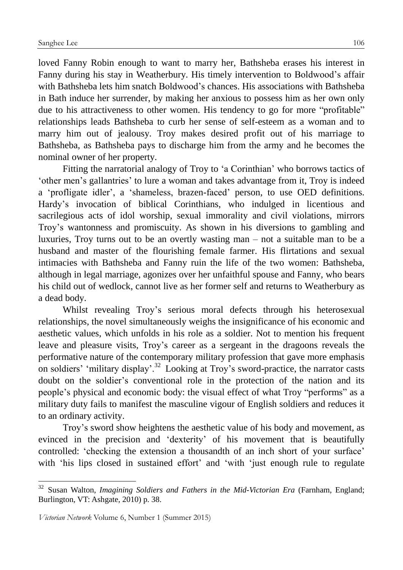loved Fanny Robin enough to want to marry her, Bathsheba erases his interest in Fanny during his stay in Weatherbury. His timely intervention to Boldwood's affair with Bathsheba lets him snatch Boldwood's chances. His associations with Bathsheba in Bath induce her surrender, by making her anxious to possess him as her own only due to his attractiveness to other women. His tendency to go for more "profitable" relationships leads Bathsheba to curb her sense of self-esteem as a woman and to marry him out of jealousy. Troy makes desired profit out of his marriage to Bathsheba, as Bathsheba pays to discharge him from the army and he becomes the nominal owner of her property.

Fitting the narratorial analogy of Troy to 'a Corinthian' who borrows tactics of 'other men's gallantries' to lure a woman and takes advantage from it, Troy is indeed a 'profligate idler', a 'shameless, brazen-faced' person, to use OED definitions. Hardy's invocation of biblical Corinthians, who indulged in licentious and sacrilegious acts of idol worship, sexual immorality and civil violations, mirrors Troy's wantonness and promiscuity. As shown in his diversions to gambling and luxuries, Troy turns out to be an overtly wasting man – not a suitable man to be a husband and master of the flourishing female farmer. His flirtations and sexual intimacies with Bathsheba and Fanny ruin the life of the two women: Bathsheba, although in legal marriage, agonizes over her unfaithful spouse and Fanny, who bears his child out of wedlock, cannot live as her former self and returns to Weatherbury as a dead body.

Whilst revealing Troy's serious moral defects through his heterosexual relationships, the novel simultaneously weighs the insignificance of his economic and aesthetic values, which unfolds in his role as a soldier. Not to mention his frequent leave and pleasure visits, Troy's career as a sergeant in the dragoons reveals the performative nature of the contemporary military profession that gave more emphasis on soldiers' 'military display'.<sup>32</sup> Looking at Troy's sword-practice, the narrator casts doubt on the soldier's conventional role in the protection of the nation and its people's physical and economic body: the visual effect of what Troy "performs" as a military duty fails to manifest the masculine vigour of English soldiers and reduces it to an ordinary activity.

Troy's sword show heightens the aesthetic value of his body and movement, as evinced in the precision and 'dexterity' of his movement that is beautifully controlled: 'checking the extension a thousandth of an inch short of your surface' with 'his lips closed in sustained effort' and 'with 'just enough rule to regulate

 $32\,$ <sup>32</sup> Susan Walton, *Imagining Soldiers and Fathers in the Mid-Victorian Era* (Farnham, England; Burlington, VT: Ashgate, 2010) p. 38.

*Victorian Network* Volume 6, Number 1 (Summer 2015)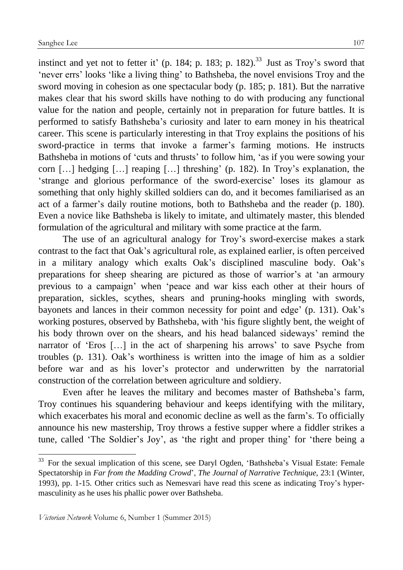instinct and yet not to fetter it' (p. 184; p. 183; p. 182).<sup>33</sup> Just as Troy's sword that 'never errs' looks 'like a living thing' to Bathsheba, the novel envisions Troy and the sword moving in cohesion as one spectacular body (p. 185; p. 181). But the narrative makes clear that his sword skills have nothing to do with producing any functional value for the nation and people, certainly not in preparation for future battles. It is performed to satisfy Bathsheba's curiosity and later to earn money in his theatrical career. This scene is particularly interesting in that Troy explains the positions of his sword-practice in terms that invoke a farmer's farming motions. He instructs Bathsheba in motions of 'cuts and thrusts' to follow him, 'as if you were sowing your corn […] hedging […] reaping […] threshing' (p. 182). In Troy's explanation, the 'strange and glorious performance of the sword-exercise' loses its glamour as something that only highly skilled soldiers can do, and it becomes familiarised as an act of a farmer's daily routine motions, both to Bathsheba and the reader (p. 180). Even a novice like Bathsheba is likely to imitate, and ultimately master, this blended formulation of the agricultural and military with some practice at the farm.

The use of an agricultural analogy for Troy's sword-exercise makes a stark contrast to the fact that Oak's agricultural role, as explained earlier, is often perceived in a military analogy which exalts Oak's disciplined masculine body. Oak's preparations for sheep shearing are pictured as those of warrior's at 'an armoury previous to a campaign' when 'peace and war kiss each other at their hours of preparation, sickles, scythes, shears and pruning-hooks mingling with swords, bayonets and lances in their common necessity for point and edge' (p. 131). Oak's working postures, observed by Bathsheba, with 'his figure slightly bent, the weight of his body thrown over on the shears, and his head balanced sideways' remind the narrator of 'Eros […] in the act of sharpening his arrows' to save Psyche from troubles (p. 131). Oak's worthiness is written into the image of him as a soldier before war and as his lover's protector and underwritten by the narratorial construction of the correlation between agriculture and soldiery.

Even after he leaves the military and becomes master of Bathsheba's farm, Troy continues his squandering behaviour and keeps identifying with the military, which exacerbates his moral and economic decline as well as the farm's. To officially announce his new mastership, Troy throws a festive supper where a fiddler strikes a tune, called 'The Soldier's Joy', as 'the right and proper thing' for 'there being a

<u>.</u>

<sup>&</sup>lt;sup>33</sup> For the sexual implication of this scene, see Daryl Ogden, 'Bathsheba's Visual Estate: Female Spectatorship in *Far from the Madding Crowd*', *The Journal of Narrative Technique*, 23:1 (Winter, 1993), pp. 1-15. Other critics such as Nemesvari have read this scene as indicating Troy's hypermasculinity as he uses his phallic power over Bathsheba.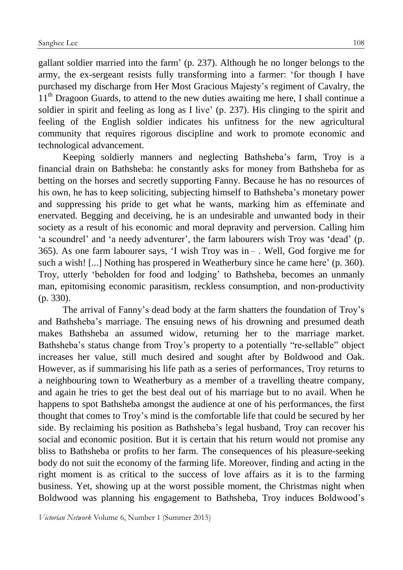gallant soldier married into the farm' (p. 237). Although he no longer belongs to the army, the ex-sergeant resists fully transforming into a farmer: 'for though I have purchased my discharge from Her Most Gracious Majesty's regiment of Cavalry, the  $11<sup>th</sup>$  Dragoon Guards, to attend to the new duties awaiting me here, I shall continue a soldier in spirit and feeling as long as I live' (p. 237). His clinging to the spirit and feeling of the English soldier indicates his unfitness for the new agricultural community that requires rigorous discipline and work to promote economic and technological advancement.

Keeping soldierly manners and neglecting Bathsheba's farm, Troy is a financial drain on Bathsheba: he constantly asks for money from Bathsheba for as betting on the horses and secretly supporting Fanny. Because he has no resources of his own, he has to keep soliciting, subjecting himself to Bathsheba's monetary power and suppressing his pride to get what he wants, marking him as effeminate and enervated. Begging and deceiving, he is an undesirable and unwanted body in their society as a result of his economic and moral depravity and perversion. Calling him 'a scoundrel' and 'a needy adventurer', the farm labourers wish Troy was 'dead' (p. 365). As one farm labourer says, 'I wish Troy was in − . Well, God forgive me for such a wish! [...] Nothing has prospered in Weatherbury since he came here' (p. 360). Troy, utterly 'beholden for food and lodging' to Bathsheba, becomes an unmanly man, epitomising economic parasitism, reckless consumption, and non-productivity (p. 330).

The arrival of Fanny's dead body at the farm shatters the foundation of Troy's and Bathsheba's marriage. The ensuing news of his drowning and presumed death makes Bathsheba an assumed widow, returning her to the marriage market. Bathsheba's status change from Troy's property to a potentially "re-sellable" object increases her value, still much desired and sought after by Boldwood and Oak. However, as if summarising his life path as a series of performances, Troy returns to a neighbouring town to Weatherbury as a member of a travelling theatre company, and again he tries to get the best deal out of his marriage but to no avail. When he happens to spot Bathsheba amongst the audience at one of his performances, the first thought that comes to Troy's mind is the comfortable life that could be secured by her side. By reclaiming his position as Bathsheba's legal husband, Troy can recover his social and economic position. But it is certain that his return would not promise any bliss to Bathsheba or profits to her farm. The consequences of his pleasure-seeking body do not suit the economy of the farming life. Moreover, finding and acting in the right moment is as critical to the success of love affairs as it is to the farming business. Yet, showing up at the worst possible moment, the Christmas night when Boldwood was planning his engagement to Bathsheba, Troy induces Boldwood's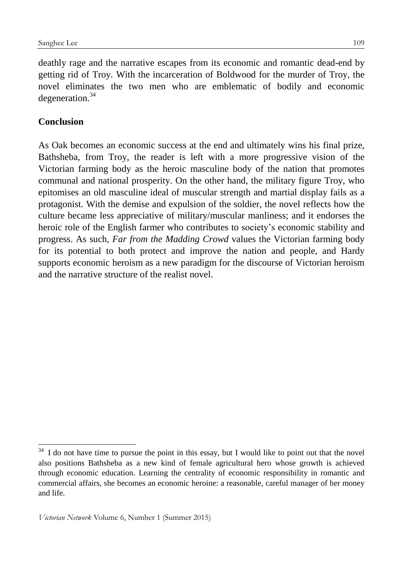deathly rage and the narrative escapes from its economic and romantic dead-end by getting rid of Troy. With the incarceration of Boldwood for the murder of Troy, the novel eliminates the two men who are emblematic of bodily and economic degeneration.<sup>34</sup>

## **Conclusion**

1

As Oak becomes an economic success at the end and ultimately wins his final prize, Bathsheba, from Troy, the reader is left with a more progressive vision of the Victorian farming body as the heroic masculine body of the nation that promotes communal and national prosperity. On the other hand, the military figure Troy, who epitomises an old masculine ideal of muscular strength and martial display fails as a protagonist. With the demise and expulsion of the soldier, the novel reflects how the culture became less appreciative of military/muscular manliness; and it endorses the heroic role of the English farmer who contributes to society's economic stability and progress. As such, *Far from the Madding Crowd* values the Victorian farming body for its potential to both protect and improve the nation and people, and Hardy supports economic heroism as a new paradigm for the discourse of Victorian heroism and the narrative structure of the realist novel.

 $34$  I do not have time to pursue the point in this essay, but I would like to point out that the novel also positions Bathsheba as a new kind of female agricultural hero whose growth is achieved through economic education. Learning the centrality of economic responsibility in romantic and commercial affairs, she becomes an economic heroine: a reasonable, careful manager of her money and life.

*Victorian Network* Volume 6, Number 1 (Summer 2015)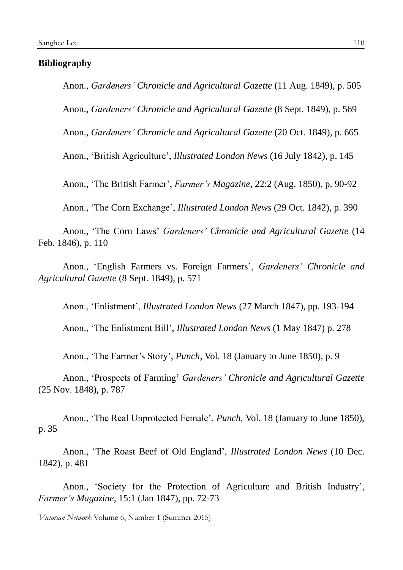#### **Bibliography**

Anon., *Gardeners' Chronicle and Agricultural Gazette* (11 Aug. 1849), p. 505

Anon., *Gardeners' Chronicle and Agricultural Gazette* (8 Sept. 1849), p. 569

Anon., *Gardeners' Chronicle and Agricultural Gazette* (20 Oct. 1849), p. 665

Anon., 'British Agriculture', *Illustrated London News* (16 July 1842), p. 145

Anon., 'The British Farmer', *Farmer's Magazine,* 22:2 (Aug. 1850), p. 90-92

Anon., 'The Corn Exchange', *Illustrated London News* (29 Oct. 1842), p. 390

Anon., 'The Corn Laws' *Gardeners' Chronicle and Agricultural Gazette* (14 Feb. 1846), p. 110

Anon., 'English Farmers vs. Foreign Farmers', *Gardeners' Chronicle and Agricultural Gazette* (8 Sept. 1849), p. 571

Anon., 'Enlistment', *Illustrated London News* (27 March 1847), pp. 193-194

Anon., 'The Enlistment Bill', *Illustrated London News* (1 May 1847) p. 278

Anon., 'The Farmer's Story', *Punch*, Vol. 18 (January to June 1850), p. 9

Anon., 'Prospects of Farming' *Gardeners' Chronicle and Agricultural Gazette* (25 Nov. 1848), p. 787

Anon., 'The Real Unprotected Female', *Punch,* Vol. 18 (January to June 1850), p. 35

Anon., 'The Roast Beef of Old England', *Illustrated London News* (10 Dec. 1842), p. 481

Anon., 'Society for the Protection of Agriculture and British Industry', *Farmer's Magazine*, 15:1 (Jan 1847), pp. 72-73

*Victorian Network* Volume 6, Number 1 (Summer 2015)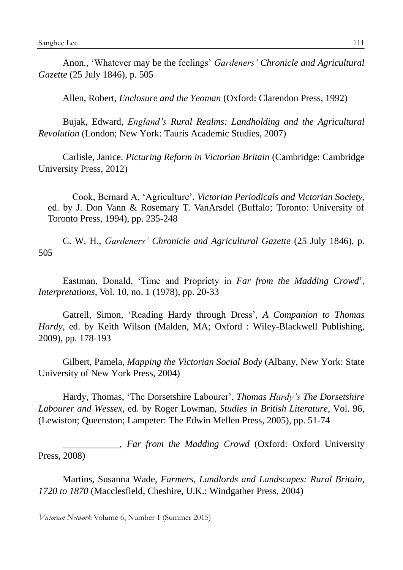Anon., 'Whatever may be the feelings' *Gardeners' Chronicle and Agricultural Gazette* (25 July 1846), p. 505

Allen, Robert, *Enclosure and the Yeoman* (Oxford: Clarendon Press, 1992)

Bujak, Edward, *England's Rural Realms: Landholding and the Agricultural Revolution* (London; New York: Tauris Academic Studies, 2007)

Carlisle, Janice. *Picturing Reform in Victorian Britain* (Cambridge: Cambridge University Press, 2012)

Cook, Bernard A, 'Agriculture', *Victorian Periodicals and Victorian Society,*  ed. by J. Don Vann & Rosemary T. VanArsdel (Buffalo; Toronto: University of Toronto Press, 1994), pp. 235-248

C. W. H., *Gardeners' Chronicle and Agricultural Gazette* (25 July 1846), p. 505

Eastman, Donald, 'Time and Propriety in *Far from the Madding Crowd*', *Interpretations*, *Vol. 10, no. 1 (1978), pp. 20-33* 

Gatrell, Simon, 'Reading Hardy through Dress'*, A Companion to Thomas Hardy*, ed. by Keith Wilson (Malden, MA; Oxford : Wiley-Blackwell Publishing, 2009), pp. 178-193

Gilbert, Pamela, *Mapping the Victorian Social Body* (Albany, New York: State University of New York Press, 2004)

Hardy, Thomas, 'The Dorsetshire Labourer', *Thomas Hardy's The Dorsetshire Labourer and Wessex*, ed. by Roger Lowman, *Studies in British Literature*, Vol. 96, (Lewiston; Queenston; Lampeter: The Edwin Mellen Press, 2005), pp. 51-74

\_\_\_\_\_\_\_\_\_\_\_\_, *Far from the Madding Crowd* (Oxford: Oxford University Press, 2008)

Martins, Susanna Wade, *Farmers, Landlords and Landscapes: Rural Britain, 1720 to 1870* (Macclesfield, Cheshire, U.K.: Windgather Press, 2004)